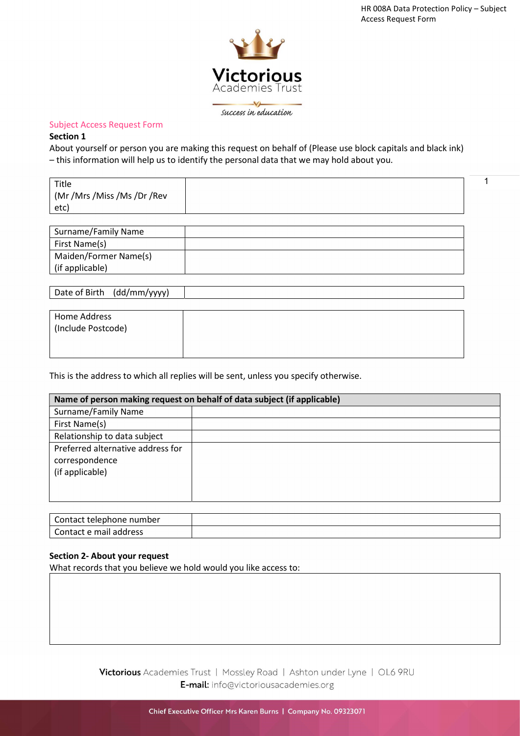1



success in education

#### Subject Access Request Form

#### Section 1

About yourself or person you are making this request on behalf of (Please use block capitals and black ink) – this information will help us to identify the personal data that we may hold about you.

| Title<br>(Mr /Mrs /Miss /Ms /Dr /Rev<br>etc) |  |
|----------------------------------------------|--|
|                                              |  |

| Surname/Family Name   |  |
|-----------------------|--|
| First Name(s)         |  |
| Maiden/Former Name(s) |  |
| (if applicable)       |  |
|                       |  |

Date of Birth (dd/mm/yyyy)

| Home Address       |  |  |
|--------------------|--|--|
| (Include Postcode) |  |  |
|                    |  |  |

This is the address to which all replies will be sent, unless you specify otherwise.

| Name of person making request on behalf of data subject (if applicable) |  |
|-------------------------------------------------------------------------|--|
| Surname/Family Name                                                     |  |
| First Name(s)                                                           |  |
| Relationship to data subject                                            |  |
| Preferred alternative address for<br>correspondence<br>(if applicable)  |  |

| Contact telephone number            |  |
|-------------------------------------|--|
| $\sim$<br>Contact e mail<br>address |  |

### Section 2- About your request

What records that you believe we hold would you like access to:

Victorious Academies Trust | Mossley Road | Ashton under Lyne | OL6 9RU E-mail: info@victoriousacademies.org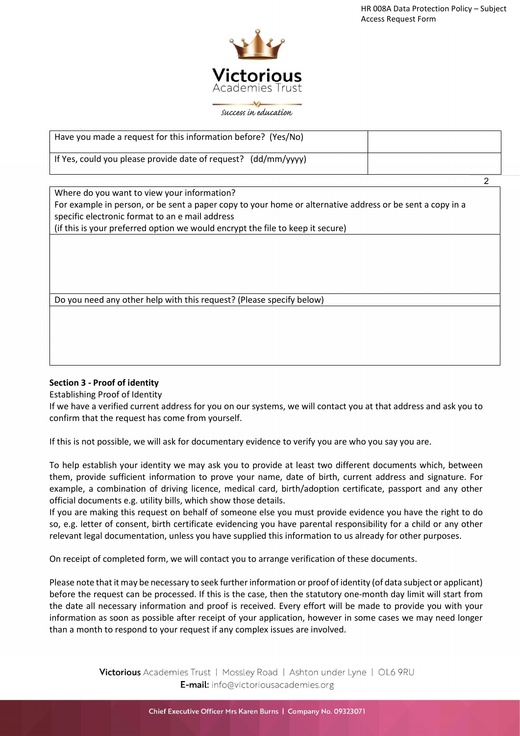

success in education

| Have you made a request for this information before? (Yes/No)  |  |
|----------------------------------------------------------------|--|
| If Yes, could you please provide date of request? (dd/mm/yyyy) |  |
|                                                                |  |
| Where do you want to view your information?                    |  |

For example in person, or be sent a paper copy to your home or alternative address or be sent a copy in a specific electronic format to an e mail address

(if this is your preferred option we would encrypt the file to keep it secure)

Do you need any other help with this request? (Please specify below)

### Section 3 - Proof of identity

Establishing Proof of Identity

If we have a verified current address for you on our systems, we will contact you at that address and ask you to confirm that the request has come from yourself.

If this is not possible, we will ask for documentary evidence to verify you are who you say you are.

To help establish your identity we may ask you to provide at least two different documents which, between them, provide sufficient information to prove your name, date of birth, current address and signature. For example, a combination of driving licence, medical card, birth/adoption certificate, passport and any other official documents e.g. utility bills, which show those details.

If you are making this request on behalf of someone else you must provide evidence you have the right to do so, e.g. letter of consent, birth certificate evidencing you have parental responsibility for a child or any other relevant legal documentation, unless you have supplied this information to us already for other purposes.

On receipt of completed form, we will contact you to arrange verification of these documents.

Please note that it may be necessary to seek further information or proof of identity (of data subject or applicant) before the request can be processed. If this is the case, then the statutory one-month day limit will start from the date all necessary information and proof is received. Every effort will be made to provide you with your information as soon as possible after receipt of your application, however in some cases we may need longer than a month to respond to your request if any complex issues are involved.

> Victorious Academies Trust | Mossley Road | Ashton under Lyne | OL6 9RU E-mail: info@victoriousacademies.org